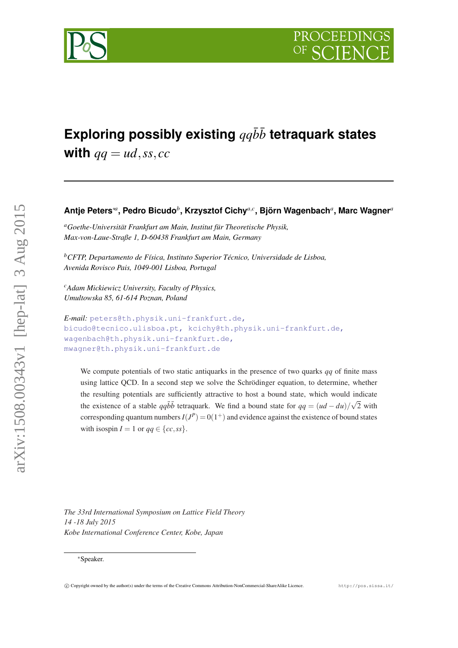

# Exploring possibly existing  $qq\bar{b}\bar{b}$  tetraquark states

**with**  $qq = ud$ , *ss*, *cc* 

# **Antje Peters**∗*<sup>a</sup>* **, Pedro Bicudo***<sup>b</sup>* **, Krzysztof Cichy***a*,*<sup>c</sup>* **, Björn Wagenbach***<sup>a</sup>* **, Marc Wagner***<sup>a</sup>*

*<sup>a</sup>Goethe-Universität Frankfurt am Main, Institut für Theoretische Physik, Max-von-Laue-Straße 1, D-60438 Frankfurt am Main, Germany*

*<sup>b</sup>CFTP, Departamento de Física, Instituto Superior Técnico, Universidade de Lisboa, Avenida Rovisco Pais, 1049-001 Lisboa, Portugal*

*<sup>c</sup>Adam Mickiewicz University, Faculty of Physics, Umultowska 85, 61-614 Poznan, Poland*

```
E-mail: peters@th.physik.uni-frankfurt.de,
bicudo@tecnico.ulisboa.pt, kcichy@th.physik.uni-frankfurt.de,
wagenbach@th.physik.uni-frankfurt.de,
mwagner@th.physik.uni-frankfurt.de
```
We compute potentials of two static antiquarks in the presence of two quarks *qq* of finite mass using lattice QCD. In a second step we solve the Schrödinger equation, to determine, whether the resulting potentials are sufficiently attractive to host a bound state, which would indicate the existence of a stable  $qq\bar{b}\bar{b}$  tetraquark. We find a bound state for  $qq = (ud - du)/\sqrt{2}$  with corresponding quantum numbers  $I(J^P) = 0(1^+)$  and evidence against the existence of bound states with isospin  $I = 1$  or  $qq \in \{cc, ss\}$ .

*The 33rd International Symposium on Lattice Field Theory 14 -18 July 2015 Kobe International Conference Center, Kobe, Japan*

<sup>∗</sup>Speaker.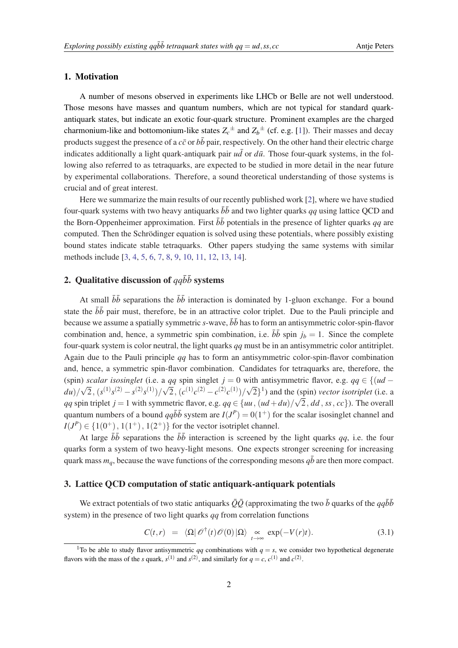#### <span id="page-1-0"></span>1. Motivation

A number of mesons observed in experiments like LHCb or Belle are not well understood. Those mesons have masses and quantum numbers, which are not typical for standard quarkantiquark states, but indicate an exotic four-quark structure. Prominent examples are the charged charmonium-like and bottomonium-like states  $Z_c^{\pm}$  and  $Z_b^{\pm}$  (cf. e.g. [[1](#page-6-0)]). Their masses and decay products suggest the presence of a  $c\bar{c}$  or  $b\bar{b}$  pair, respectively. On the other hand their electric charge indicates additionally a light quark-antiquark pair  $u\bar{d}$  or  $d\bar{u}$ . Those four-quark systems, in the following also referred to as tetraquarks, are expected to be studied in more detail in the near future by experimental collaborations. Therefore, a sound theoretical understanding of those systems is crucial and of great interest.

Here we summarize the main results of our recently published work [\[2\]](#page-6-0), where we have studied four-quark systems with two heavy antiquarks  $\bar{b}\bar{b}$  and two lighter quarks *qq* using lattice QCD and the Born-Oppenheimer approximation. First  $b\bar{b}$  potentials in the presence of lighter quarks *qq* are computed. Then the Schrödinger equation is solved using these potentials, where possibly existing bound states indicate stable tetraquarks. Other papers studying the same systems with similar methods include [[3,](#page-6-0) [4,](#page-6-0) [5,](#page-6-0) [6,](#page-6-0) [7,](#page-6-0) [8,](#page-6-0) [9](#page-6-0), [10,](#page-6-0) [11](#page-6-0), [12,](#page-6-0) [13,](#page-6-0) [14](#page-6-0)].

## 2. Qualitative discussion of  $q\bar{q}\bar{b}\bar{b}$  systems

At small  $\bar{b}\bar{b}$  separations the  $\bar{b}\bar{b}$  interaction is dominated by 1-gluon exchange. For a bound state the  $b\bar{b}$  pair must, therefore, be in an attractive color triplet. Due to the Pauli principle and because we assume a spatially symmetric  $s$ -wave,  $\overline{b}\overline{b}$  has to form an antisymmetric color-spin-flavor combination and, hence, a symmetric spin combination, i.e.  $b\bar{b}$  spin  $j_b = 1$ . Since the complete four-quark system is color neutral, the light quarks *qq* must be in an antisymmetric color antitriplet. Again due to the Pauli principle *qq* has to form an antisymmetric color-spin-flavor combination and, hence, a symmetric spin-flavor combination. Candidates for tetraquarks are, therefore, the (spin) *scalar isosinglet* (i.e. a *qq* spin singlet *j* = 0 with antisymmetric flavor, e.g.  $qq \in \{(ud - \alpha) \mid (0, 0) \in \mathbb{Z} \}$  (1) (i)  $\sqrt{2}$  (1) (i)  $\sqrt{2}$  (1) (i)  $\sqrt{2}$  $du$ )/ $\sqrt{2}$ ,  $(s^{(1)}s^{(2)} - s^{(2)}s^{(1)})/\sqrt{2}$ ,  $(c^{(1)}c^{(2)} - c^{(2)}c^{(1)})/\sqrt{2}$ <sup>1</sup>) and the (spin) *vector isotriplet* (i.e. a *qq* spin triplet *j* = 1 with symmetric flavor, e.g.  $qq \in \{uu, (ud+du)/\sqrt{2}, dd, ss, cc\}$ . The overall quantum numbers of a bound  $qq\bar{b}\bar{b}$  system are  $I(J^P) = 0(1^+)$  for the scalar isosinglet channel and  $I(J^{P}) \in \{1(0^{+}), 1(1^{+}), 1(2^{+})\}$  for the vector isotriplet channel.

At large  $b\bar{b}$  separations the  $b\bar{b}$  interaction is screened by the light quarks *qq*, i.e. the four quarks form a system of two heavy-light mesons. One expects stronger screening for increasing quark mass  $m_q$ , because the wave functions of the corresponding mesons  $q\bar{b}$  are then more compact.

### 3. Lattice QCD computation of static antiquark-antiquark potentials

We extract potentials of two static antiquarks  $\overline{O}\overline{O}$  (approximating the two  $\overline{b}$  quarks of the  $q\overline{q}b\overline{b}$ system) in the presence of two light quarks *qq* from correlation functions

$$
C(t,r) = \langle \Omega | \mathscr{O}^\dagger(t) \mathscr{O}(0) | \Omega \rangle \underset{t \to \infty}{\propto} \exp(-V(r)t). \tag{3.1}
$$

<sup>&</sup>lt;sup>1</sup>To be able to study flavor antisymmetric *qq* combinations with  $q = s$ , we consider two hypothetical degenerate flavors with the mass of the *s* quark,  $s^{(1)}$  and  $s^{(2)}$ , and similarly for  $q = c$ ,  $c^{(1)}$  and  $c^{(2)}$ .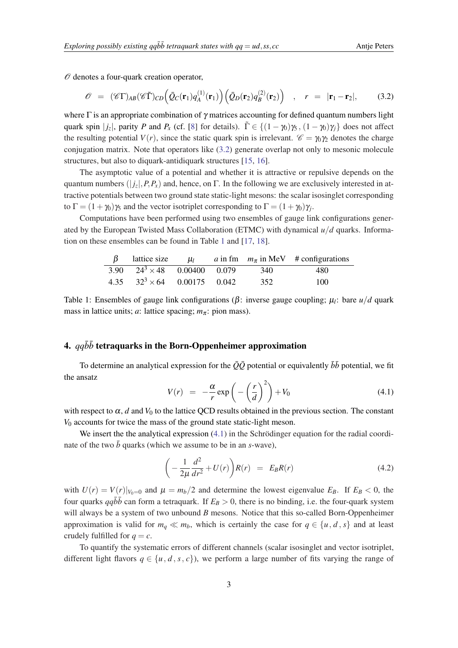<span id="page-2-0"></span> $\mathcal O$  denotes a four-quark creation operator,

$$
\mathscr{O} = (\mathscr{C}\Gamma)_{AB}(\mathscr{C}\tilde{\Gamma})_{CD} \Big(\bar{Q}_C(\mathbf{r}_1)q_A^{(1)}(\mathbf{r}_1)\Big) \Big(\bar{Q}_D(\mathbf{r}_2)q_B^{(2)}(\mathbf{r}_2)\Big) , \quad r = |\mathbf{r}_1 - \mathbf{r}_2|, \quad (3.2)
$$

where  $\Gamma$  is an appropriate combination of  $\gamma$  matrices accounting for defined quantum numbers light quark spin  $|j_z|$ , parity *P* and  $P_x$  (cf. [\[8](#page-6-0)] for details).  $\tilde{\Gamma} \in \{(1 - \gamma_0)\gamma_5, (1 - \gamma_0)\gamma_j\}$  does not affect the resulting potential  $V(r)$ , since the static quark spin is irrelevant.  $\mathscr{C} = \gamma_0 \gamma_2$  denotes the charge conjugation matrix. Note that operators like (3.2) generate overlap not only to mesonic molecule structures, but also to diquark-antidiquark structures [\[15](#page-6-0), [16\]](#page-6-0).

The asymptotic value of a potential and whether it is attractive or repulsive depends on the quantum numbers  $(|j_z|, P, P_x)$  and, hence, on  $\Gamma$ . In the following we are exclusively interested in attractive potentials between two ground state static-light mesons: the scalar isosinglet corresponding to  $\Gamma = (1 + \gamma_0)\gamma_5$  and the vector isotriplet corresponding to  $\Gamma = (1 + \gamma_0)\gamma_j$ .

Computations have been performed using two ensembles of gauge link configurations generated by the European Twisted Mass Collaboration (ETMC) with dynamical *u*/*d* quarks. Information on these ensembles can be found in Table 1 and [\[17](#page-6-0), [18\]](#page-6-0).

|                                     |  |     | $\beta$ lattice size $\mu_l$ a in fm $m_{\pi}$ in MeV # configurations |
|-------------------------------------|--|-----|------------------------------------------------------------------------|
| 3.90 $24^3 \times 48$ 0.00400 0.079 |  | 340 | 480                                                                    |
| 4.35 $32^3 \times 64$ 0.00175 0.042 |  | 352 | 100                                                                    |

Table 1: Ensembles of gauge link configurations (β: inverse gauge coupling; µ*<sup>l</sup>* : bare *u*/*d* quark mass in lattice units; *a*: lattice spacing;  $m_{\pi}$ : pion mass).

## 4.  $q\bar{q}\bar{b}\bar{b}$  tetraquarks in the Born-Oppenheimer approximation

To determine an analytical expression for the  $\overline{Q}\overline{Q}$  potential or equivalently  $\overline{b}\overline{b}$  potential, we fit the ansatz

$$
V(r) = -\frac{\alpha}{r} \exp\left(-\left(\frac{r}{d}\right)^2\right) + V_0 \tag{4.1}
$$

with respect to  $\alpha$ , *d* and  $V_0$  to the lattice QCD results obtained in the previous section. The constant *V*<sup>0</sup> accounts for twice the mass of the ground state static-light meson.

We insert the the analytical expression  $(4.1)$  in the Schrödinger equation for the radial coordinate of the two  $\bar{b}$  quarks (which we assume to be in an *s*-wave),

$$
\left(-\frac{1}{2\mu}\frac{d^2}{dr^2} + U(r)\right)R(r) = E_B R(r) \tag{4.2}
$$

with  $U(r) = V(r)|_{V_0=0}$  and  $\mu = m_b/2$  and determine the lowest eigenvalue  $E_B$ . If  $E_B < 0$ , the four quarks  $q\bar{q}b\bar{b}$  can form a tetraquark. If  $E_B > 0$ , there is no binding, i.e. the four-quark system will always be a system of two unbound *B* mesons. Notice that this so-called Born-Oppenheimer approximation is valid for  $m_q \ll m_b$ , which is certainly the case for  $q \in \{u, d, s\}$  and at least crudely fulfilled for  $q = c$ .

To quantify the systematic errors of different channels (scalar isosinglet and vector isotriplet, different light flavors  $q \in \{u, d, s, c\}$ , we perform a large number of fits varying the range of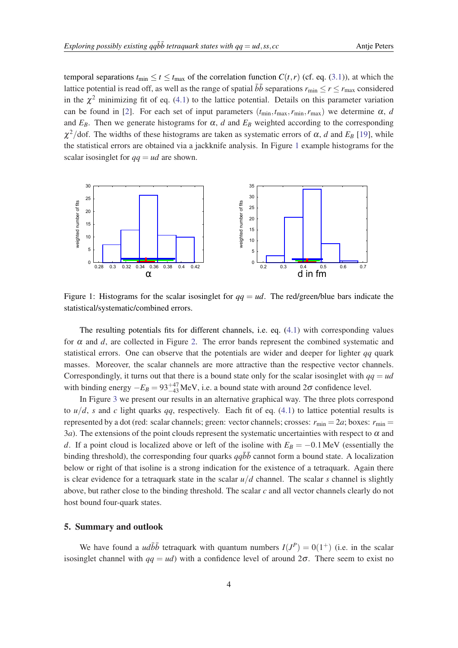temporal separations  $t_{\text{min}} \le t \le t_{\text{max}}$  of the correlation function  $C(t, r)$  (cf. eq. [\(3.1\)](#page-1-0)), at which the lattice potential is read off, as well as the range of spatial  $b\bar{b}$  separations  $r_{\min} \le r \le r_{\max}$  considered in the  $\chi^2$  minimizing fit of eq. ([4.1](#page-2-0)) to the lattice potential. Details on this parameter variation can be found in [[2](#page-6-0)]. For each set of input parameters  $(t_{min}, t_{max}, r_{min}, r_{max})$  we determine  $\alpha$ , *d* and  $E_B$ . Then we generate histograms for  $\alpha$ , *d* and  $E_B$  weighted according to the corresponding  $\chi^2$ /dof. The widths of these histograms are taken as systematic errors of  $\alpha$ , *d* and  $E_B$  [\[19](#page-6-0)], while the statistical errors are obtained via a jackknife analysis. In Figure 1 example histograms for the scalar isosinglet for  $qa = ud$  are shown.



Figure 1: Histograms for the scalar isosinglet for  $qq = ud$ . The red/green/blue bars indicate the statistical/systematic/combined errors.

The resulting potentials fits for different channels, i.e. eq. ([4.1\)](#page-2-0) with corresponding values for  $\alpha$  and  $d$ , are collected in Figure [2](#page-4-0). The error bands represent the combined systematic and statistical errors. One can observe that the potentials are wider and deeper for lighter *qq* quark masses. Moreover, the scalar channels are more attractive than the respective vector channels. Correspondingly, it turns out that there is a bound state only for the scalar isosinglet with  $qq = ud$ with binding energy  $-E_B = 93^{+47}_{-43}$  MeV, i.e. a bound state with around  $2\sigma$  confidence level.

In Figure [3](#page-5-0) we present our results in an alternative graphical way. The three plots correspond to  $u/d$ , *s* and *c* light quarks *qq*, respectively. Each fit of eq. ([4.1](#page-2-0)) to lattice potential results is represented by a dot (red: scalar channels; green: vector channels; crosses:  $r_{\text{min}} = 2a$ ; boxes:  $r_{\text{min}} =$ 3*a*). The extensions of the point clouds represent the systematic uncertainties with respect to  $\alpha$  and *d*. If a point cloud is localized above or left of the isoline with  $E_B = -0.1$  MeV (essentially the binding threshold), the corresponding four quarks  $qq\bar{b}\bar{b}$  cannot form a bound state. A localization below or right of that isoline is a strong indication for the existence of a tetraquark. Again there is clear evidence for a tetraquark state in the scalar  $u/d$  channel. The scalar *s* channel is slightly above, but rather close to the binding threshold. The scalar *c* and all vector channels clearly do not host bound four-quark states.

#### 5. Summary and outlook

We have found a *udbb* tetraquark with quantum numbers  $I(J^P) = O(1^+)$  (i.e. in the scalar isosinglet channel with  $qq = ud$ ) with a confidence level of around  $2\sigma$ . There seem to exist no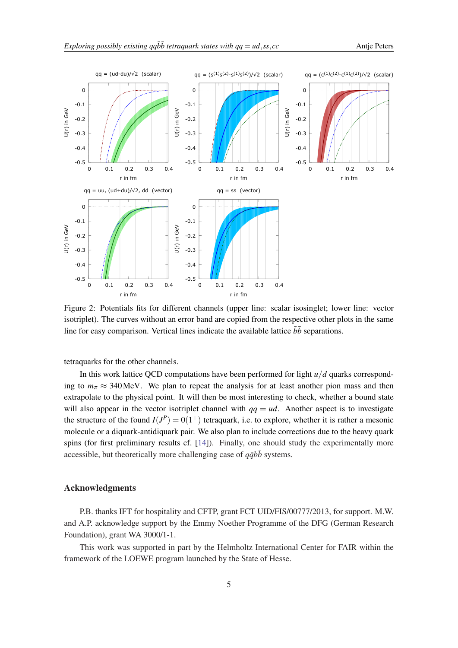<span id="page-4-0"></span>

Figure 2: Potentials fits for different channels (upper line: scalar isosinglet; lower line: vector isotriplet). The curves without an error band are copied from the respective other plots in the same line for easy comparison. Vertical lines indicate the available lattice  $\bar{b}\bar{b}$  separations.

tetraquarks for the other channels.

In this work lattice QCD computations have been performed for light *u*/*d* quarks corresponding to  $m_\pi \approx 340$ MeV. We plan to repeat the analysis for at least another pion mass and then extrapolate to the physical point. It will then be most interesting to check, whether a bound state will also appear in the vector isotriplet channel with  $qa = ud$ . Another aspect is to investigate the structure of the found  $I(J^P) = 0(1^+)$  tetraquark, i.e. to explore, whether it is rather a mesonic molecule or a diquark-antidiquark pair. We also plan to include corrections due to the heavy quark spins (for first preliminary results cf. [\[14](#page-6-0)]). Finally, one should study the experimentally more accessible, but theoretically more challenging case of  $q\bar{q}b\bar{b}$  systems.

#### Acknowledgments

P.B. thanks IFT for hospitality and CFTP, grant FCT UID/FIS/00777/2013, for support. M.W. and A.P. acknowledge support by the Emmy Noether Programme of the DFG (German Research Foundation), grant WA 3000/1-1.

This work was supported in part by the Helmholtz International Center for FAIR within the framework of the LOEWE program launched by the State of Hesse.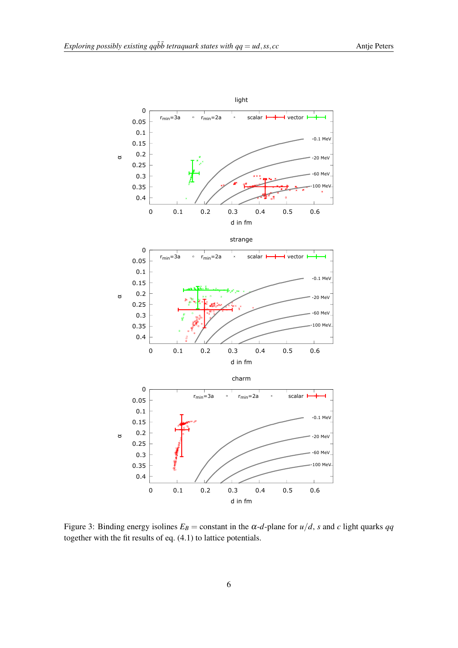<span id="page-5-0"></span>

Figure 3: Binding energy isolines  $E_B$  = constant in the  $\alpha$ -*d*-plane for  $u/d$ , *s* and *c* light quarks *qq* together with the fit results of eq. (4.1) to lattice potentials.